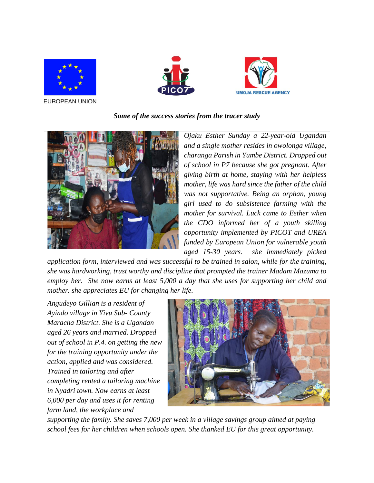





EUROPEAN UNION

## *Some of the success stories from the tracer study*



*Ojaku Esther Sunday a 22-year-old Ugandan and a single mother resides in owolonga village, charanga Parish in Yumbe District. Dropped out of school in P7 because she got pregnant. After giving birth at home, staying with her helpless mother, life was hard since the father of the child was not supportative. Being an orphan, young girl used to do subsistence farming with the mother for survival. Luck came to Esther when the CDO informed her of a youth skilling opportunity implemented by PICOT and UREA funded by European Union for vulnerable youth aged 15-30 years. she immediately picked* 

*application form, interviewed and was successful to be trained in salon, while for the training, she was hardworking, trust worthy and discipline that prompted the trainer Madam Mazuma to employ her. She now earns at least 5,000 a day that she uses for supporting her child and mother. she appreciates EU for changing her life.*

*Angudeyo Gillian is a resident of Ayindo village in Yivu Sub- County Maracha District. She is a Ugandan aged 26 years and married. Dropped out of school in P.4. on getting the new for the training opportunity under the action, applied and was considered. Trained in tailoring and after completing rented a tailoring machine in Nyadri town. Now earns at least 6,000 per day and uses it for renting farm land, the workplace and* 



*supporting the family. She saves 7,000 per week in a village savings group aimed at paying school fees for her children when schools open. She thanked EU for this great opportunity.*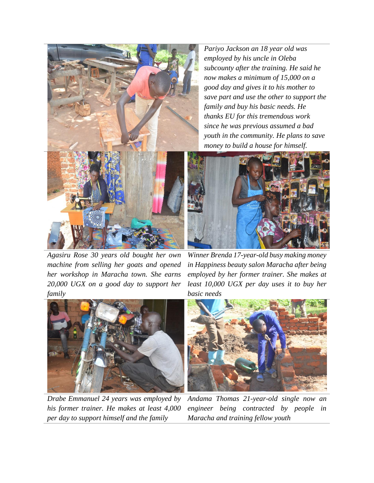*Pariyo Jackson an 18 year old was employed by his uncle in Oleba subcounty after the training. He said he now makes a minimum of 15,000 on a good day and gives it to his mother to save part and use the other to support the family and buy his basic needs. He thanks EU for this tremendous work since he was previous assumed a bad youth in the community. He plans to save money to build a house for himself.*



*Agasiru Rose 30 years old bought her own machine from selling her goats and opened her workshop in Maracha town. She earns 20,000 UGX on a good day to support her family*



*Drabe Emmanuel 24 years was employed by his former trainer. He makes at least 4,000 per day to support himself and the family*



*Winner Brenda 17-year-old busy making money in Happiness beauty salon Maracha after being employed by her former trainer. She makes at least 10,000 UGX per day uses it to buy her basic needs*



*Andama Thomas 21-year-old single now an engineer being contracted by people in Maracha and training fellow youth*